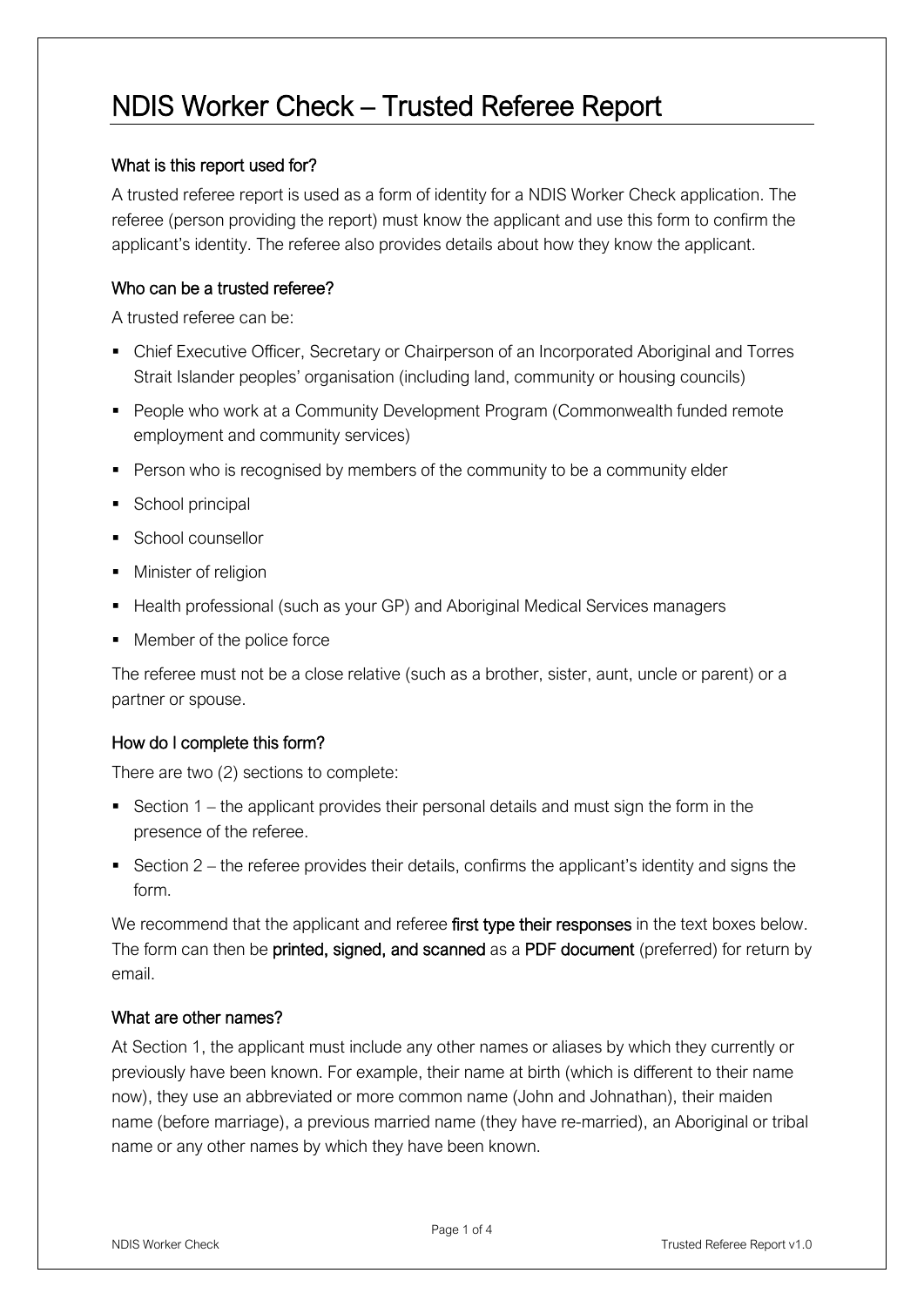# NDIS Worker Check – Trusted Referee Report

## What is this report used for?

A trusted referee report is used as a form of identity for a NDIS Worker Check application. The referee (person providing the report) must know the applicant and use this form to confirm the applicant's identity. The referee also provides details about how they know the applicant.

## Who can be a trusted referee?

A trusted referee can be:

- Chief Executive Officer, Secretary or Chairperson of an Incorporated Aboriginal and Torres Strait Islander peoples' organisation (including land, community or housing councils)
- **People who work at a Community Development Program (Commonwealth funded remote** employment and community services)
- **Person who is recognised by members of the community to be a community elder**
- School principal
- School counsellor
- **Minister of religion**
- **Health professional (such as your GP) and Aboriginal Medical Services managers**
- Member of the police force

The referee must not be a close relative (such as a brother, sister, aunt, uncle or parent) or a partner or spouse.

## How do I complete this form?

There are two (2) sections to complete:

- Section 1 the applicant provides their personal details and must sign the form in the presence of the referee.
- Section  $2$  the referee provides their details, confirms the applicant's identity and signs the form.

We recommend that the applicant and referee first type their responses in the text boxes below. The form can then be **printed, signed, and scanned** as a PDF document (preferred) for return by email.

## What are other names?

At Section 1, the applicant must include any other names or aliases by which they currently or previously have been known. For example, their name at birth (which is different to their name now), they use an abbreviated or more common name (John and Johnathan), their maiden name (before marriage), a previous married name (they have re-married), an Aboriginal or tribal name or any other names by which they have been known.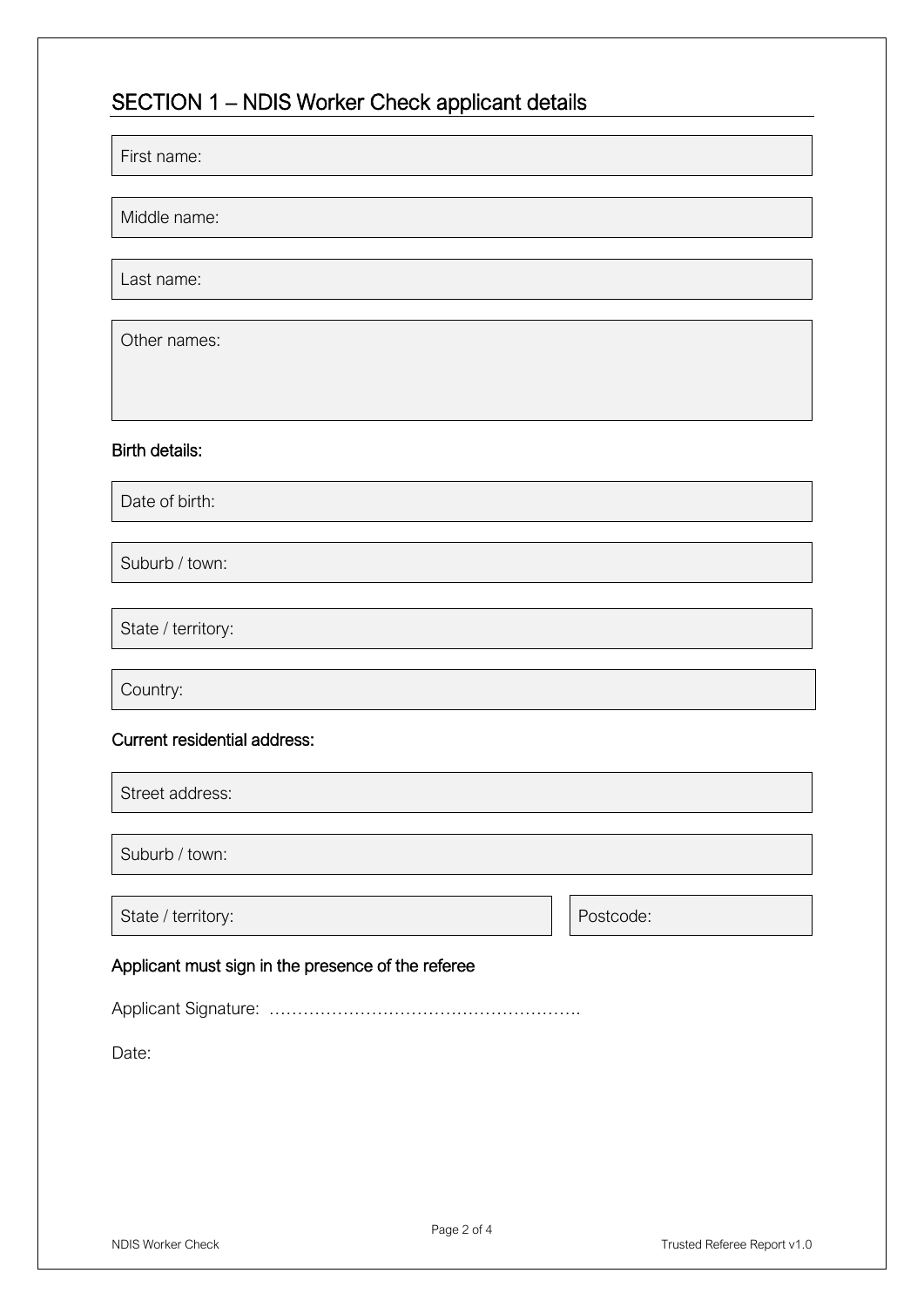## SECTION 1 – NDIS Worker Check applicant details

First name:

Middle name:

Last name:

Other names:

#### Birth details:

Date of birth:

Suburb / town:

State / territory:

Country:

#### Current residential address:

Street address:

Suburb / town:

State / territory:

Postcode:

## Applicant must sign in the presence of the referee

Applicant Signature: ……………………………………………….

Date: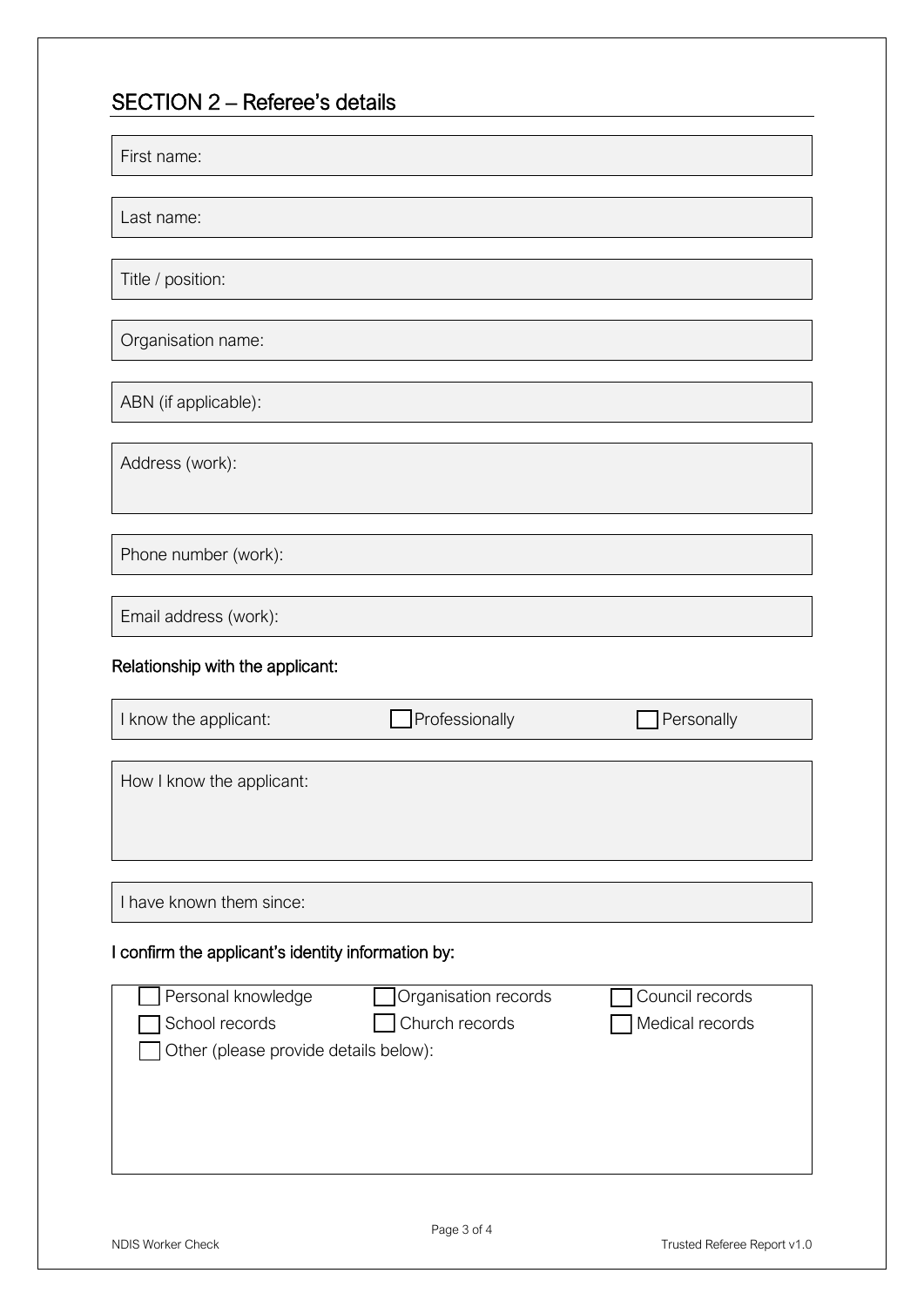## SECTION 2 – Referee's details

| First name: |  |
|-------------|--|
|-------------|--|

Last name:

Title / position:

Organisation name:

ABN (if applicable):

Address (work):

Phone number (work):

Email address (work):

## Relationship with the applicant:

| I know the applicant:     | Professionally | Personally |
|---------------------------|----------------|------------|
|                           |                |            |
| How I know the applicant: |                |            |
|                           |                |            |
|                           |                |            |
| I have known them since:  |                |            |

## I confirm the applicant's identity information by:

| Personal knowledge                    | Organisation records | Council records |
|---------------------------------------|----------------------|-----------------|
| School records                        | Church records       | Medical records |
| Other (please provide details below): |                      |                 |
|                                       |                      |                 |
|                                       |                      |                 |
|                                       |                      |                 |
|                                       |                      |                 |